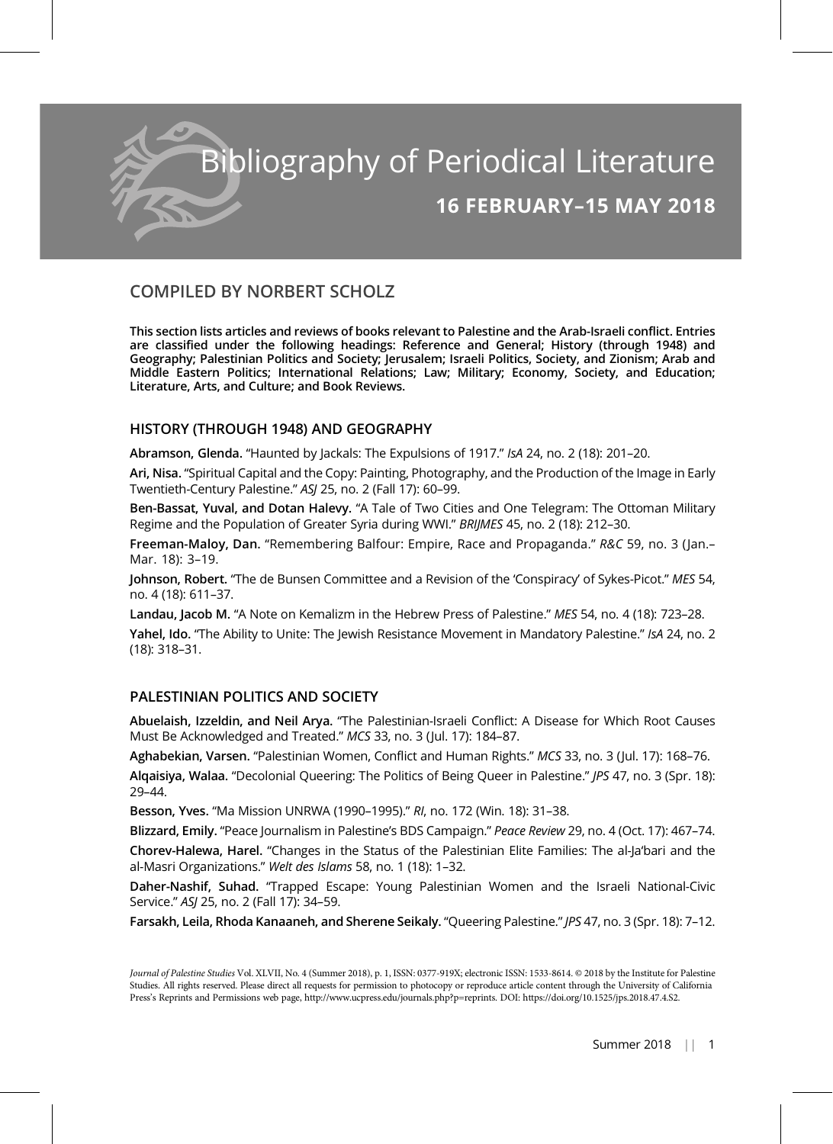

# COMPILED BY NORBERT SCHOLZ

This section lists articles and reviews of books relevant to Palestine and the Arab-Israeli conflict. Entries are classified under the following headings: Reference and General; History (through 1948) and Geography; Palestinian Politics and Society; Jerusalem; Israeli Politics, Society, and Zionism; Arab and Middle Eastern Politics; International Relations; Law; Military; Economy, Society, and Education; Literature, Arts, and Culture; and Book Reviews.

## HISTORY (THROUGH 1948) AND GEOGRAPHY

Abramson, Glenda. "Haunted by Jackals: The Expulsions of 1917." IsA 24, no. 2 (18): 201–20.

Ari, Nisa. "Spiritual Capital and the Copy: Painting, Photography, and the Production of the Image in Early Twentieth-Century Palestine." ASJ 25, no. 2 (Fall 17): 60–99.

Ben-Bassat, Yuval, and Dotan Halevy. "A Tale of Two Cities and One Telegram: The Ottoman Military Regime and the Population of Greater Syria during WWI." BRIJMES 45, no. 2 (18): 212–30.

Freeman-Maloy, Dan. "Remembering Balfour: Empire, Race and Propaganda." R&C 59, no. 3 (Jan.– Mar. 18): 3–19.

Johnson, Robert. "The de Bunsen Committee and a Revision of the 'Conspiracy' of Sykes-Picot." MES 54, no. 4 (18): 611–37.

Landau, Jacob M. "A Note on Kemalizm in the Hebrew Press of Palestine." MES 54, no. 4 (18): 723–28. Yahel, Ido. "The Ability to Unite: The Jewish Resistance Movement in Mandatory Palestine." IsA 24, no. 2 (18): 318–31.

## PALESTINIAN POLITICS AND SOCIETY

Abuelaish, Izzeldin, and Neil Arya. "The Palestinian-Israeli Conflict: A Disease for Which Root Causes Must Be Acknowledged and Treated." MCS 33, no. 3 (Jul. 17): 184–87.

Aghabekian, Varsen. "Palestinian Women, Conflict and Human Rights." MCS 33, no. 3 (Jul. 17): 168–76. Alqaisiya, Walaa. "Decolonial Queering: The Politics of Being Queer in Palestine." JPS 47, no. 3 (Spr. 18): 29–44.

Besson, Yves. "Ma Mission UNRWA (1990–1995)." RI, no. 172 (Win. 18): 31–38.

Blizzard, Emily. "Peace Journalism in Palestine's BDS Campaign." Peace Review 29, no. 4 (Oct. 17): 467–74.

Chorev-Halewa, Harel. "Changes in the Status of the Palestinian Elite Families: The al-Ja'bari and the al-Masri Organizations." Welt des Islams 58, no. 1 (18): 1–32.

Daher-Nashif, Suhad. "Trapped Escape: Young Palestinian Women and the Israeli National-Civic Service." ASJ 25, no. 2 (Fall 17): 34–59.

Farsakh, Leila, Rhoda Kanaaneh, and Sherene Seikaly. "Queering Palestine." JPS 47, no. 3 (Spr. 18): 7–12.

Journal of Palestine Studies Vol. XLVII, No. 4 (Summer 2018), p. 1, ISSN: 0377-919X; electronic ISSN: 1533-8614. © 2018 by the Institute for Palestine Studies. All rights reserved. Please direct all requests for permission to photocopy or reproduce article content through the University of California Press's Reprints and Permissions web page, http://www.ucpress.edu/journals.php?p=reprints. DOI: https://doi.org/10.1525/jps.2018.47.4.S2.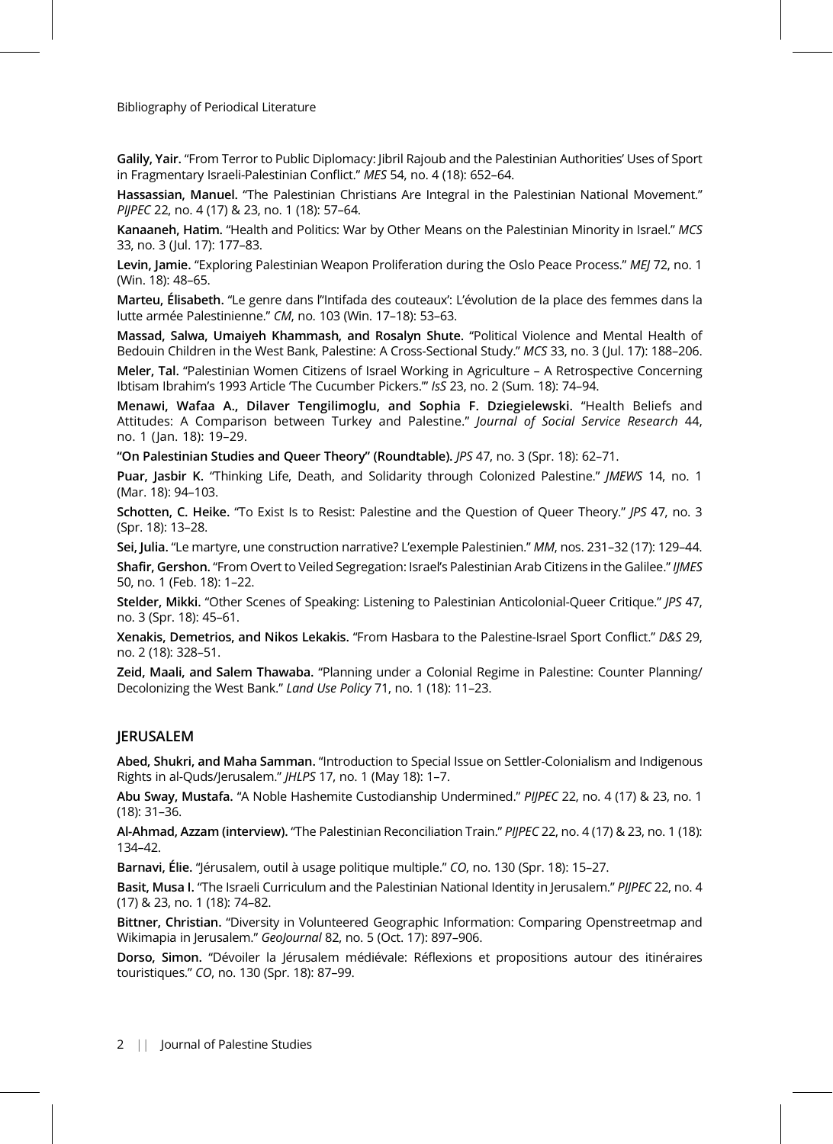Galily, Yair. "From Terror to Public Diplomacy: Jibril Rajoub and the Palestinian Authorities' Uses of Sport in Fragmentary Israeli-Palestinian Conflict." MES 54, no. 4 (18): 652–64.

Hassassian, Manuel. "The Palestinian Christians Are Integral in the Palestinian National Movement." PIJPEC 22, no. 4 (17) & 23, no. 1 (18): 57–64.

Kanaaneh, Hatim. "Health and Politics: War by Other Means on the Palestinian Minority in Israel." MCS 33, no. 3 (Jul. 17): 177–83.

Levin, Jamie. "Exploring Palestinian Weapon Proliferation during the Oslo Peace Process." MEJ 72, no. 1 (Win. 18): 48–65.

Marteu, Élisabeth. "Le genre dans l''Intifada des couteaux': L'évolution de la place des femmes dans la lutte armée Palestinienne." CM, no. 103 (Win. 17–18): 53–63.

Massad, Salwa, Umaiyeh Khammash, and Rosalyn Shute. "Political Violence and Mental Health of Bedouin Children in the West Bank, Palestine: A Cross-Sectional Study." MCS 33, no. 3 (Jul. 17): 188–206.

Meler, Tal. "Palestinian Women Citizens of Israel Working in Agriculture – A Retrospective Concerning Ibtisam Ibrahim's 1993 Article 'The Cucumber Pickers.'" IsS 23, no. 2 (Sum. 18): 74–94.

Menawi, Wafaa A., Dilaver Tengilimoglu, and Sophia F. Dziegielewski. "Health Beliefs and Attitudes: A Comparison between Turkey and Palestine." Journal of Social Service Research 44, no. 1 (Jan. 18): 19–29.

"On Palestinian Studies and Queer Theory" (Roundtable). JPS 47, no. 3 (Spr. 18): 62–71.

Puar, Jasbir K. "Thinking Life, Death, and Solidarity through Colonized Palestine." *JMEWS* 14, no. 1 (Mar. 18): 94–103.

Schotten, C. Heike. "To Exist Is to Resist: Palestine and the Question of Queer Theory." JPS 47, no. 3 (Spr. 18): 13–28.

Sei, Julia. "Le martyre, une construction narrative? L'exemple Palestinien." MM, nos. 231–32 (17): 129–44.

Shafir, Gershon. "From Overt to Veiled Segregation: Israel's Palestinian Arab Citizens in the Galilee." IJMES 50, no. 1 (Feb. 18): 1–22.

Stelder, Mikki. "Other Scenes of Speaking: Listening to Palestinian Anticolonial-Queer Critique." JPS 47, no. 3 (Spr. 18): 45–61.

Xenakis, Demetrios, and Nikos Lekakis. "From Hasbara to the Palestine-Israel Sport Conflict." D&S 29, no. 2 (18): 328–51.

Zeid, Maali, and Salem Thawaba. "Planning under a Colonial Regime in Palestine: Counter Planning/ Decolonizing the West Bank." Land Use Policy 71, no. 1 (18): 11–23.

## JERUSALEM

Abed, Shukri, and Maha Samman. "Introduction to Special Issue on Settler-Colonialism and Indigenous Rights in al-Quds/Jerusalem." JHLPS 17, no. 1 (May 18): 1–7.

Abu Sway, Mustafa. "A Noble Hashemite Custodianship Undermined." PIJPEC 22, no. 4 (17) & 23, no. 1 (18): 31–36.

Al-Ahmad, Azzam (interview). "The Palestinian Reconciliation Train." PIJPEC 22, no. 4 (17) & 23, no. 1 (18): 134–42.

Barnavi, Élie. "Jérusalem, outil à usage politique multiple." CO, no. 130 (Spr. 18): 15-27.

Basit, Musa I. "The Israeli Curriculum and the Palestinian National Identity in Jerusalem." PIJPEC 22, no. 4 (17) & 23, no. 1 (18): 74–82.

Bittner, Christian. "Diversity in Volunteered Geographic Information: Comparing Openstreetmap and Wikimapia in Jerusalem." GeoJournal 82, no. 5 (Oct. 17): 897–906.

Dorso, Simon. "Dévoiler la Jérusalem médiévale: Réflexions et propositions autour des itinéraires touristiques." CO, no. 130 (Spr. 18): 87–99.

2 || Journal of Palestine Studies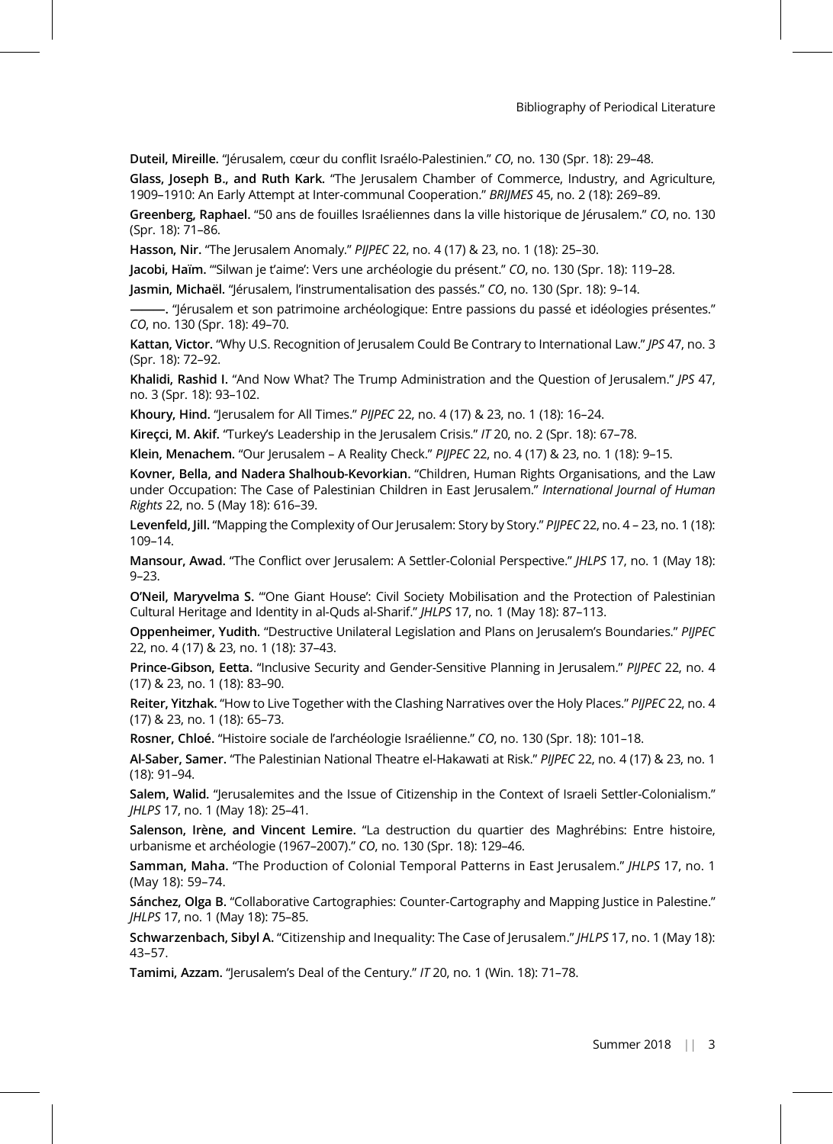Duteil, Mireille. "Jérusalem, cœur du conflit Israélo-Palestinien." CO, no. 130 (Spr. 18): 29–48.

Glass, Joseph B., and Ruth Kark. "The Jerusalem Chamber of Commerce, Industry, and Agriculture, 1909–1910: An Early Attempt at Inter-communal Cooperation." BRIJMES 45, no. 2 (18): 269–89.

Greenberg, Raphael. "50 ans de fouilles Israéliennes dans la ville historique de Jérusalem." CO, no. 130 (Spr. 18): 71–86.

Hasson, Nir. "The Jerusalem Anomaly." PIJPEC 22, no. 4 (17) & 23, no. 1 (18): 25–30.

Jacobi, Haïm. "'Silwan je t'aime': Vers une archéologie du présent." CO, no. 130 (Spr. 18): 119–28.

Jasmin, Michaël. "Jérusalem, l'instrumentalisation des passés." CO, no. 130 (Spr. 18): 9–14.

———. "Jérusalem et son patrimoine archéologique: Entre passions du passé et idéologies présentes." CO, no. 130 (Spr. 18): 49–70.

Kattan, Victor. "Why U.S. Recognition of Jerusalem Could Be Contrary to International Law." JPS 47, no. 3 (Spr. 18): 72–92.

Khalidi, Rashid I. "And Now What? The Trump Administration and the Question of Jerusalem." JPS 47, no. 3 (Spr. 18): 93–102.

Khoury, Hind. "Jerusalem for All Times." PIJPEC 22, no. 4 (17) & 23, no. 1 (18): 16–24.

Kireçci, M. Akif. "Turkey's Leadership in the Jerusalem Crisis." IT 20, no. 2 (Spr. 18): 67-78.

Klein, Menachem. "Our Jerusalem – A Reality Check." PIJPEC 22, no. 4 (17) & 23, no. 1 (18): 9–15.

Kovner, Bella, and Nadera Shalhoub-Kevorkian. "Children, Human Rights Organisations, and the Law under Occupation: The Case of Palestinian Children in East Jerusalem." International Journal of Human Rights 22, no. 5 (May 18): 616–39.

Levenfeld, Jill. "Mapping the Complexity of Our Jerusalem: Story by Story." PIJPEC 22, no. 4 – 23, no. 1 (18): 109–14.

Mansour, Awad. "The Conflict over Jerusalem: A Settler-Colonial Perspective." JHLPS 17, no. 1 (May 18): 9–23.

O'Neil, Maryvelma S. "'One Giant House': Civil Society Mobilisation and the Protection of Palestinian Cultural Heritage and Identity in al-Quds al-Sharif." JHLPS 17, no. 1 (May 18): 87–113.

Oppenheimer, Yudith. "Destructive Unilateral Legislation and Plans on Jerusalem's Boundaries." PIJPEC 22, no. 4 (17) & 23, no. 1 (18): 37–43.

Prince-Gibson, Eetta. "Inclusive Security and Gender-Sensitive Planning in Jerusalem." PIJPEC 22, no. 4 (17) & 23, no. 1 (18): 83–90.

Reiter, Yitzhak. "How to Live Together with the Clashing Narratives over the Holy Places." PIJPEC 22, no. 4 (17) & 23, no. 1 (18): 65–73.

Rosner, Chloé. "Histoire sociale de l'archéologie Israélienne." CO, no. 130 (Spr. 18): 101–18.

Al-Saber, Samer. "The Palestinian National Theatre el-Hakawati at Risk." PIJPEC 22, no. 4 (17) & 23, no. 1 (18): 91–94.

Salem, Walid. "Jerusalemites and the Issue of Citizenship in the Context of Israeli Settler-Colonialism." JHLPS 17, no. 1 (May 18): 25–41.

Salenson, Irène, and Vincent Lemire. "La destruction du quartier des Maghrébins: Entre histoire, urbanisme et archéologie (1967–2007)." CO, no. 130 (Spr. 18): 129–46.

Samman, Maha. "The Production of Colonial Temporal Patterns in East Jerusalem." JHLPS 17, no. 1 (May 18): 59–74.

Sánchez, Olga B. "Collaborative Cartographies: Counter-Cartography and Mapping Justice in Palestine." JHLPS 17, no. 1 (May 18): 75–85.

Schwarzenbach, Sibyl A. "Citizenship and Inequality: The Case of Jerusalem." JHLPS 17, no. 1 (May 18): 43–57.

Tamimi, Azzam. "Jerusalem's Deal of the Century." IT 20, no. 1 (Win. 18): 71–78.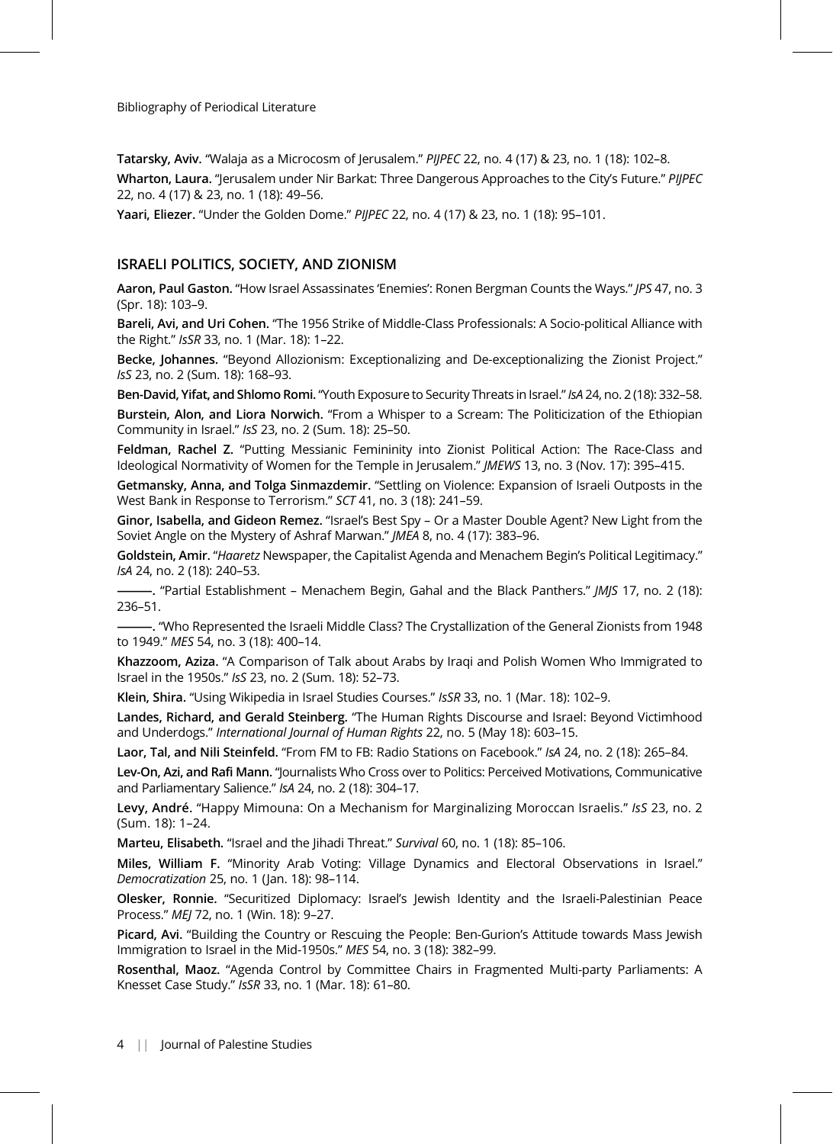Tatarsky, Aviv. "Walaja as a Microcosm of Jerusalem." PIJPEC 22, no. 4 (17) & 23, no. 1 (18): 102-8. Wharton, Laura. "Jerusalem under Nir Barkat: Three Dangerous Approaches to the City's Future." PIJPEC 22, no. 4 (17) & 23, no. 1 (18): 49–56.

Yaari, Eliezer. "Under the Golden Dome." PIJPEC 22, no. 4 (17) & 23, no. 1 (18): 95–101.

## ISRAELI POLITICS, SOCIETY, AND ZIONISM

Aaron, Paul Gaston. "How Israel Assassinates 'Enemies': Ronen Bergman Counts the Ways." JPS 47, no. 3 (Spr. 18): 103–9.

Bareli, Avi, and Uri Cohen. "The 1956 Strike of Middle-Class Professionals: A Socio-political Alliance with the Right." IsSR 33, no. 1 (Mar. 18): 1–22.

Becke, Johannes. "Beyond Allozionism: Exceptionalizing and De-exceptionalizing the Zionist Project." IsS 23, no. 2 (Sum. 18): 168–93.

Ben-David, Yifat, and Shlomo Romi. "Youth Exposure to Security Threats in Israel." IsA 24, no. 2 (18): 332-58.

Burstein, Alon, and Liora Norwich. "From a Whisper to a Scream: The Politicization of the Ethiopian Community in Israel." IsS 23, no. 2 (Sum. 18): 25–50.

Feldman, Rachel Z. "Putting Messianic Femininity into Zionist Political Action: The Race-Class and Ideological Normativity of Women for the Temple in Jerusalem." JMEWS 13, no. 3 (Nov. 17): 395-415.

Getmansky, Anna, and Tolga Sinmazdemir. "Settling on Violence: Expansion of Israeli Outposts in the West Bank in Response to Terrorism." SCT 41, no. 3 (18): 241–59.

Ginor, Isabella, and Gideon Remez. "Israel's Best Spy – Or a Master Double Agent? New Light from the Soviet Angle on the Mystery of Ashraf Marwan." JMEA 8, no. 4 (17): 383–96.

Goldstein, Amir. "Haaretz Newspaper, the Capitalist Agenda and Menachem Begin's Political Legitimacy." IsA 24, no. 2 (18): 240–53.

-. "Partial Establishment - Menachem Begin, Gahal and the Black Panthers." JMJS 17, no. 2 (18): 236–51.

———. "Who Represented the Israeli Middle Class? The Crystallization of the General Zionists from 1948 to 1949." MES 54, no. 3 (18): 400–14.

Khazzoom, Aziza. "A Comparison of Talk about Arabs by Iraqi and Polish Women Who Immigrated to Israel in the 1950s." IsS 23, no. 2 (Sum. 18): 52–73.

Klein, Shira. "Using Wikipedia in Israel Studies Courses." IsSR 33, no. 1 (Mar. 18): 102–9.

Landes, Richard, and Gerald Steinberg. "The Human Rights Discourse and Israel: Beyond Victimhood and Underdogs." International Journal of Human Rights 22, no. 5 (May 18): 603–15.

Laor, Tal, and Nili Steinfeld. "From FM to FB: Radio Stations on Facebook." IsA 24, no. 2 (18): 265–84.

Lev-On, Azi, and Rafi Mann. "Journalists Who Cross over to Politics: Perceived Motivations, Communicative and Parliamentary Salience." IsA 24, no. 2 (18): 304–17.

Levy, André. "Happy Mimouna: On a Mechanism for Marginalizing Moroccan Israelis." IsS 23, no. 2 (Sum. 18): 1–24.

Marteu, Elisabeth. "Israel and the Jihadi Threat." Survival 60, no. 1 (18): 85-106.

Miles, William F. "Minority Arab Voting: Village Dynamics and Electoral Observations in Israel." Democratization 25, no. 1 (Jan. 18): 98–114.

Olesker, Ronnie. "Securitized Diplomacy: Israel's Jewish Identity and the Israeli-Palestinian Peace Process." MEJ 72, no. 1 (Win. 18): 9–27.

Picard, Avi. "Building the Country or Rescuing the People: Ben-Gurion's Attitude towards Mass Jewish Immigration to Israel in the Mid-1950s." MES 54, no. 3 (18): 382–99.

Rosenthal, Maoz. "Agenda Control by Committee Chairs in Fragmented Multi-party Parliaments: A Knesset Case Study." IsSR 33, no. 1 (Mar. 18): 61–80.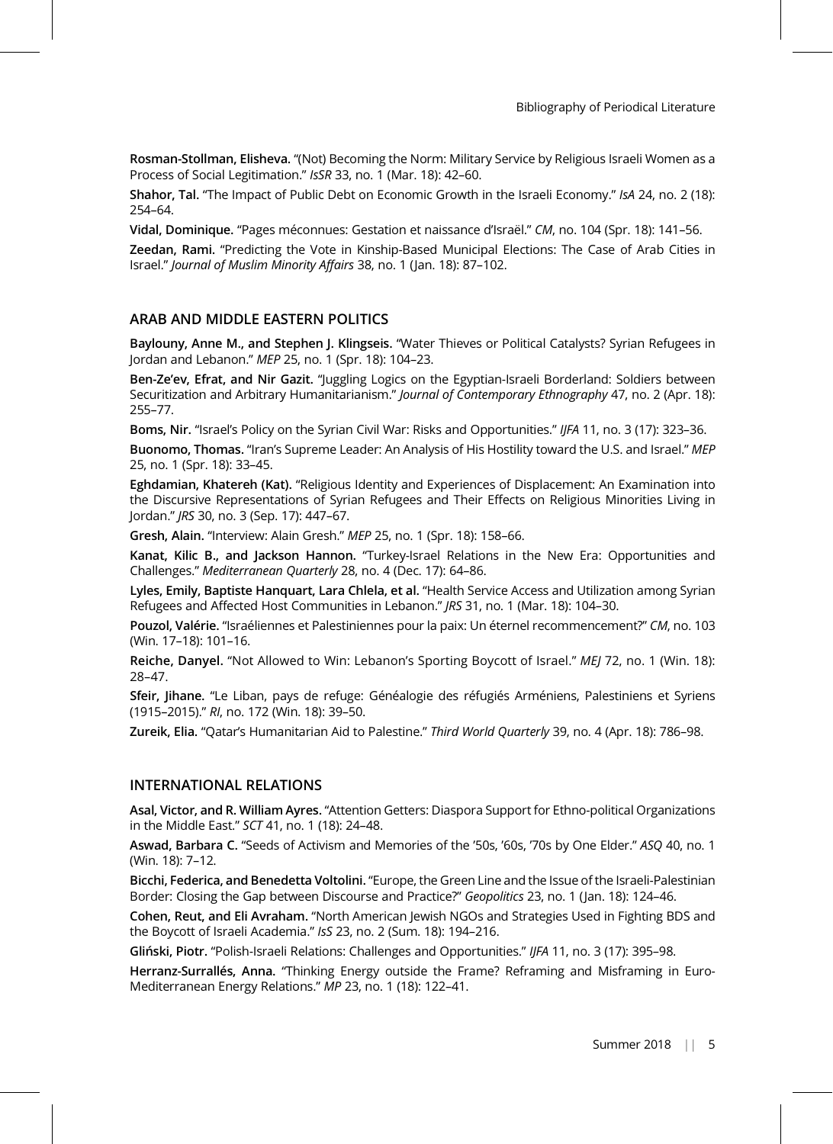Rosman-Stollman, Elisheva. "(Not) Becoming the Norm: Military Service by Religious Israeli Women as a Process of Social Legitimation." IsSR 33, no. 1 (Mar. 18): 42–60.

Shahor, Tal. "The Impact of Public Debt on Economic Growth in the Israeli Economy." IsA 24, no. 2 (18): 254–64.

Vidal, Dominique. "Pages méconnues: Gestation et naissance d'Israël." CM, no. 104 (Spr. 18): 141–56.

Zeedan, Rami. "Predicting the Vote in Kinship-Based Municipal Elections: The Case of Arab Cities in Israel." Journal of Muslim Minority Affairs 38, no. 1 (Jan. 18): 87–102.

## ARAB AND MIDDLE EASTERN POLITICS

Baylouny, Anne M., and Stephen J. Klingseis. "Water Thieves or Political Catalysts? Syrian Refugees in Jordan and Lebanon." MEP 25, no. 1 (Spr. 18): 104–23.

Ben-Ze'ev, Efrat, and Nir Gazit. "Juggling Logics on the Egyptian-Israeli Borderland: Soldiers between Securitization and Arbitrary Humanitarianism." Journal of Contemporary Ethnography 47, no. 2 (Apr. 18): 255–77.

Boms, Nir. "Israel's Policy on the Syrian Civil War: Risks and Opportunities." IJFA 11, no. 3 (17): 323-36.

Buonomo, Thomas. "Iran's Supreme Leader: An Analysis of His Hostility toward the U.S. and Israel." MEP 25, no. 1 (Spr. 18): 33–45.

Eghdamian, Khatereh (Kat). "Religious Identity and Experiences of Displacement: An Examination into the Discursive Representations of Syrian Refugees and Their Effects on Religious Minorities Living in Jordan." JRS 30, no. 3 (Sep. 17): 447–67.

Gresh, Alain. "Interview: Alain Gresh." MEP 25, no. 1 (Spr. 18): 158–66.

Kanat, Kilic B., and Jackson Hannon. "Turkey-Israel Relations in the New Era: Opportunities and Challenges." Mediterranean Quarterly 28, no. 4 (Dec. 17): 64–86.

Lyles, Emily, Baptiste Hanquart, Lara Chlela, et al. "Health Service Access and Utilization among Syrian Refugees and Affected Host Communities in Lebanon." JRS 31, no. 1 (Mar. 18): 104–30.

Pouzol, Valérie. "Israéliennes et Palestiniennes pour la paix: Un éternel recommencement?" CM, no. 103 (Win. 17–18): 101–16.

Reiche, Danyel. "Not Allowed to Win: Lebanon's Sporting Boycott of Israel." MEJ 72, no. 1 (Win. 18): 28–47.

Sfeir, Jihane. "Le Liban, pays de refuge: Généalogie des réfugiés Arméniens, Palestiniens et Syriens (1915–2015)." RI, no. 172 (Win. 18): 39–50.

Zureik, Elia. "Qatar's Humanitarian Aid to Palestine." Third World Quarterly 39, no. 4 (Apr. 18): 786–98.

## INTERNATIONAL RELATIONS

Asal, Victor, and R. William Ayres. "Attention Getters: Diaspora Support for Ethno-political Organizations in the Middle East." SCT 41, no. 1 (18): 24–48.

Aswad, Barbara C. "Seeds of Activism and Memories of the '50s, '60s, '70s by One Elder." ASQ 40, no. 1 (Win. 18): 7–12.

Bicchi, Federica, and Benedetta Voltolini. "Europe, the Green Line and the Issue of the Israeli-Palestinian Border: Closing the Gap between Discourse and Practice?" Geopolitics 23, no. 1 (Jan. 18): 124–46.

Cohen, Reut, and Eli Avraham. "North American Jewish NGOs and Strategies Used in Fighting BDS and the Boycott of Israeli Academia." IsS 23, no. 2 (Sum. 18): 194–216.

Gliński, Piotr. "Polish-Israeli Relations: Challenges and Opportunities." IJFA 11, no. 3 (17): 395–98.

Herranz-Surrallés, Anna. "Thinking Energy outside the Frame? Reframing and Misframing in Euro-Mediterranean Energy Relations." MP 23, no. 1 (18): 122–41.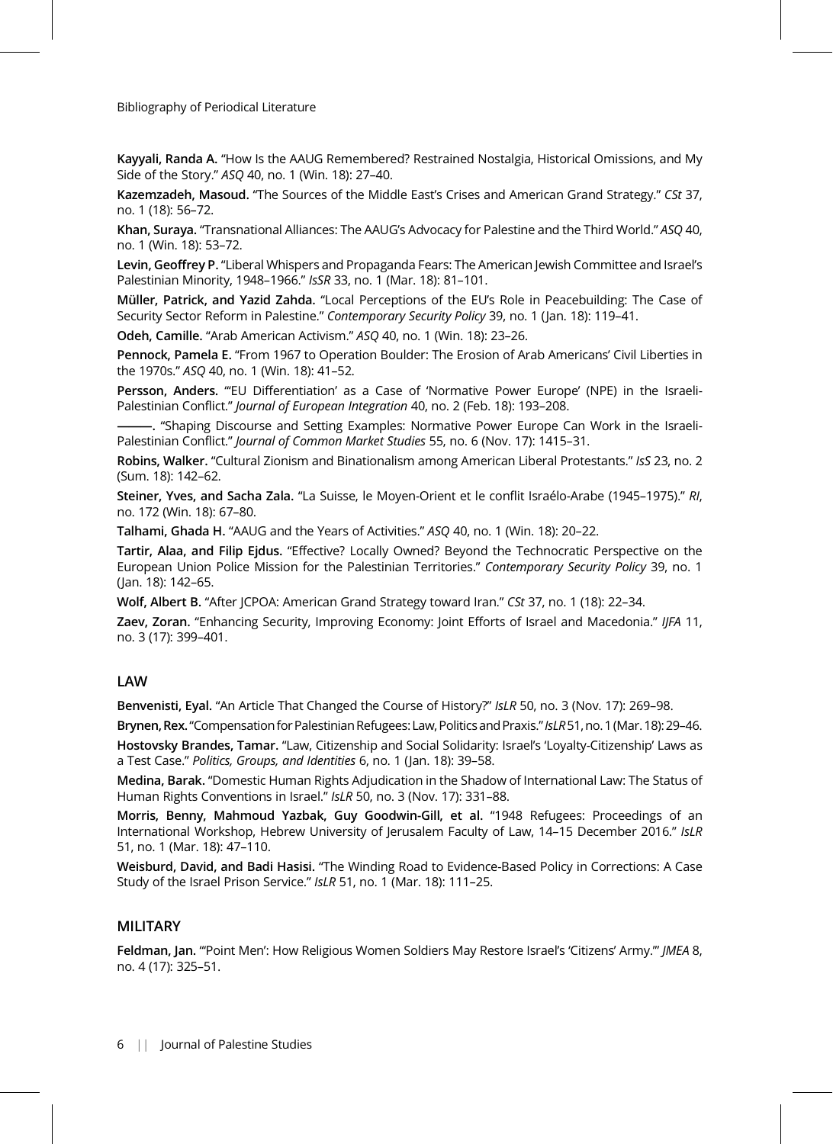Kayyali, Randa A. "How Is the AAUG Remembered? Restrained Nostalgia, Historical Omissions, and My Side of the Story." ASQ 40, no. 1 (Win. 18): 27–40.

Kazemzadeh, Masoud. "The Sources of the Middle East's Crises and American Grand Strategy." CSt 37, no. 1 (18): 56–72.

Khan, Suraya. "Transnational Alliances: The AAUG's Advocacy for Palestine and the Third World." ASQ 40, no. 1 (Win. 18): 53–72.

Levin, Geoffrey P. "Liberal Whispers and Propaganda Fears: The American Jewish Committee and Israel's Palestinian Minority, 1948–1966." IsSR 33, no. 1 (Mar. 18): 81–101.

Müller, Patrick, and Yazid Zahda. "Local Perceptions of the EU's Role in Peacebuilding: The Case of Security Sector Reform in Palestine." Contemporary Security Policy 39, no. 1 (Jan. 18): 119–41.

Odeh, Camille. "Arab American Activism." ASQ 40, no. 1 (Win. 18): 23–26.

Pennock, Pamela E. "From 1967 to Operation Boulder: The Erosion of Arab Americans' Civil Liberties in the 1970s." ASQ 40, no. 1 (Win. 18): 41–52.

Persson, Anders. ""EU Differentiation' as a Case of 'Normative Power Europe' (NPE) in the Israeli-Palestinian Conflict." Journal of European Integration 40, no. 2 (Feb. 18): 193–208.

-. "Shaping Discourse and Setting Examples: Normative Power Europe Can Work in the Israeli-Palestinian Conflict." Journal of Common Market Studies 55, no. 6 (Nov. 17): 1415-31.

Robins, Walker. "Cultural Zionism and Binationalism among American Liberal Protestants." IsS 23, no. 2 (Sum. 18): 142–62.

Steiner, Yves, and Sacha Zala. "La Suisse, le Moyen-Orient et le conflit Israélo-Arabe (1945–1975)." RI, no. 172 (Win. 18): 67–80.

Talhami, Ghada H. "AAUG and the Years of Activities." ASQ 40, no. 1 (Win. 18): 20–22.

Tartir, Alaa, and Filip Ejdus. "Effective? Locally Owned? Beyond the Technocratic Perspective on the European Union Police Mission for the Palestinian Territories." Contemporary Security Policy 39, no. 1 (Jan. 18): 142–65.

Wolf, Albert B. "After JCPOA: American Grand Strategy toward Iran." CSt 37, no. 1 (18): 22-34.

Zaev, Zoran. "Enhancing Security, Improving Economy: Joint Efforts of Israel and Macedonia." IJFA 11, no. 3 (17): 399–401.

## LAW

Benvenisti, Eyal. "An Article That Changed the Course of History?" IsLR 50, no. 3 (Nov. 17): 269-98.

Brynen, Rex. "Compensation for Palestinian Refugees: Law, Politics and Praxis." IsLR 51, no. 1 (Mar. 18): 29-46.

Hostovsky Brandes, Tamar. "Law, Citizenship and Social Solidarity: Israel's 'Loyalty-Citizenship' Laws as a Test Case." Politics, Groups, and Identities 6, no. 1 (Jan. 18): 39–58.

Medina, Barak. "Domestic Human Rights Adjudication in the Shadow of International Law: The Status of Human Rights Conventions in Israel." IsLR 50, no. 3 (Nov. 17): 331–88.

Morris, Benny, Mahmoud Yazbak, Guy Goodwin-Gill, et al. "1948 Refugees: Proceedings of an International Workshop, Hebrew University of Jerusalem Faculty of Law, 14–15 December 2016." IsLR 51, no. 1 (Mar. 18): 47–110.

Weisburd, David, and Badi Hasisi. "The Winding Road to Evidence-Based Policy in Corrections: A Case Study of the Israel Prison Service." IsLR 51, no. 1 (Mar. 18): 111-25.

## MILITARY

Feldman, Jan. "'Point Men': How Religious Women Soldiers May Restore Israel's 'Citizens' Army."' JMEA 8, no. 4 (17): 325–51.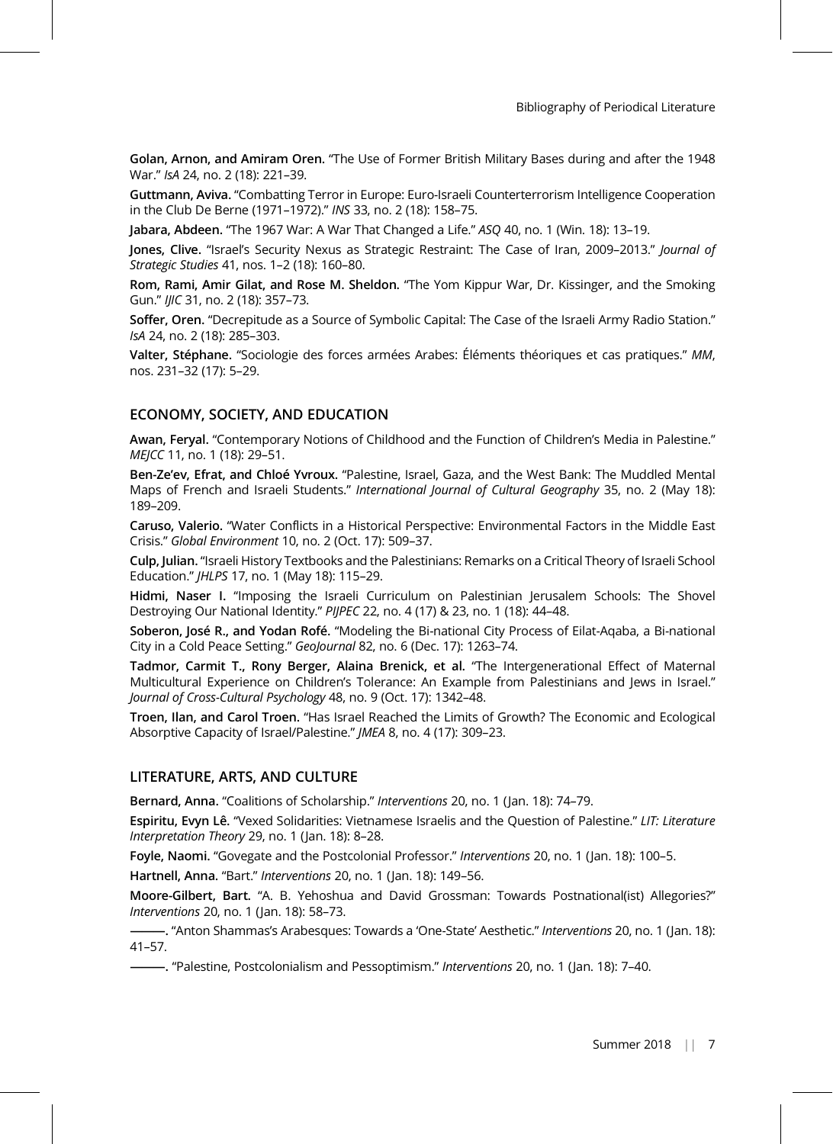Golan, Arnon, and Amiram Oren. "The Use of Former British Military Bases during and after the 1948 War." IsA 24, no. 2 (18): 221–39.

Guttmann, Aviva. "Combatting Terror in Europe: Euro-Israeli Counterterrorism Intelligence Cooperation in the Club De Berne (1971–1972)." INS 33, no. 2 (18): 158–75.

Jabara, Abdeen. "The 1967 War: A War That Changed a Life." ASQ 40, no. 1 (Win. 18): 13–19.

Jones, Clive. "Israel's Security Nexus as Strategic Restraint: The Case of Iran, 2009–2013." Journal of Strategic Studies 41, nos. 1–2 (18): 160–80.

Rom, Rami, Amir Gilat, and Rose M. Sheldon. "The Yom Kippur War, Dr. Kissinger, and the Smoking Gun." IJIC 31, no. 2 (18): 357–73.

Soffer, Oren. "Decrepitude as a Source of Symbolic Capital: The Case of the Israeli Army Radio Station." IsA 24, no. 2 (18): 285–303.

Valter, Stéphane. "Sociologie des forces armées Arabes: Éléments théoriques et cas pratiques." MM, nos. 231–32 (17): 5–29.

#### ECONOMY, SOCIETY, AND EDUCATION

Awan, Feryal. "Contemporary Notions of Childhood and the Function of Children's Media in Palestine." MEJCC 11, no. 1 (18): 29–51.

Ben-Ze'ev, Efrat, and Chloé Yvroux. "Palestine, Israel, Gaza, and the West Bank: The Muddled Mental Maps of French and Israeli Students." International Journal of Cultural Geography 35, no. 2 (May 18): 189–209.

Caruso, Valerio. "Water Conflicts in a Historical Perspective: Environmental Factors in the Middle East Crisis." Global Environment 10, no. 2 (Oct. 17): 509–37.

Culp, Julian. "Israeli History Textbooks and the Palestinians: Remarks on a Critical Theory of Israeli School Education." JHLPS 17, no. 1 (May 18): 115–29.

Hidmi, Naser I. "Imposing the Israeli Curriculum on Palestinian Jerusalem Schools: The Shovel Destroying Our National Identity." PIJPEC 22, no. 4 (17) & 23, no. 1 (18): 44–48.

Soberon, José R., and Yodan Rofé. "Modeling the Bi-national City Process of Eilat-Aqaba, a Bi-national City in a Cold Peace Setting." GeoJournal 82, no. 6 (Dec. 17): 1263–74.

Tadmor, Carmit T., Rony Berger, Alaina Brenick, et al. "The Intergenerational Effect of Maternal Multicultural Experience on Children's Tolerance: An Example from Palestinians and Jews in Israel." Journal of Cross-Cultural Psychology 48, no. 9 (Oct. 17): 1342–48.

Troen, Ilan, and Carol Troen. "Has Israel Reached the Limits of Growth? The Economic and Ecological Absorptive Capacity of Israel/Palestine." JMEA 8, no. 4 (17): 309–23.

### LITERATURE, ARTS, AND CULTURE

Bernard, Anna. "Coalitions of Scholarship." Interventions 20, no. 1 (Jan. 18): 74–79.

Espiritu, Evyn Lê. "Vexed Solidarities: Vietnamese Israelis and the Question of Palestine." LIT: Literature Interpretation Theory 29, no. 1 (Jan. 18): 8–28.

Foyle, Naomi. "Govegate and the Postcolonial Professor." Interventions 20, no. 1 (Jan. 18): 100–5.

Hartnell, Anna. "Bart." Interventions 20, no. 1 (Jan. 18): 149–56.

Moore-Gilbert, Bart. "A. B. Yehoshua and David Grossman: Towards Postnational(ist) Allegories?" Interventions 20, no. 1 (Jan. 18): 58–73.

–. "Anton Shammas's Arabesques: Towards a 'One-State' Aesthetic." *Interventions* 20, no. 1 (Jan. 18): 41–57.

———. "Palestine, Postcolonialism and Pessoptimism." Interventions 20, no. 1 (Jan. 18): 7–40.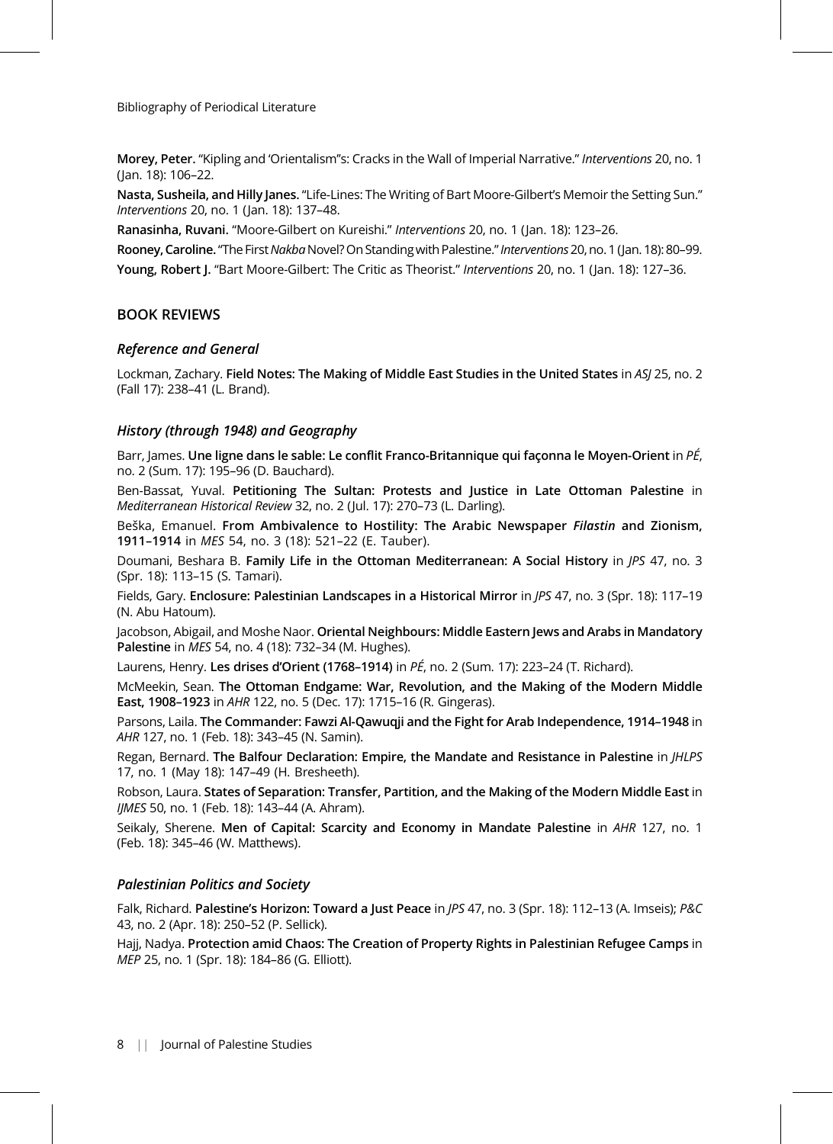Morey, Peter. "Kipling and 'Orientalism''s: Cracks in the Wall of Imperial Narrative." Interventions 20, no. 1 (Jan. 18): 106–22.

Nasta, Susheila, and Hilly Janes. "Life-Lines: The Writing of Bart Moore-Gilbert's Memoir the Setting Sun." Interventions 20, no. 1 (Jan. 18): 137–48.

Ranasinha, Ruvani. "Moore-Gilbert on Kureishi." Interventions 20, no. 1 (Jan. 18): 123–26.

Rooney, Caroline. "The First Nakba Novel? On Standing with Palestine." Interventions 20, no. 1 (Jan. 18): 80-99. Young, Robert J. "Bart Moore-Gilbert: The Critic as Theorist." Interventions 20, no. 1 (Jan. 18): 127-36.

### BOOK REVIEWS

#### Reference and General

Lockman, Zachary. Field Notes: The Making of Middle East Studies in the United States in ASJ 25, no. 2 (Fall 17): 238–41 (L. Brand).

### History (through 1948) and Geography

Barr, James. Une ligne dans le sable: Le conflit Franco-Britannique qui façonna le Moyen-Orient in  $P\acute{E}$ , no. 2 (Sum. 17): 195–96 (D. Bauchard).

Ben-Bassat, Yuval. Petitioning The Sultan: Protests and Justice in Late Ottoman Palestine in Mediterranean Historical Review 32, no. 2 (Jul. 17): 270–73 (L. Darling).

Beška, Emanuel. From Ambivalence to Hostility: The Arabic Newspaper Filastin and Zionism, 1911–1914 in MES 54, no. 3 (18): 521–22 (E. Tauber).

Doumani, Beshara B. Family Life in the Ottoman Mediterranean: A Social History in JPS 47, no. 3 (Spr. 18): 113–15 (S. Tamari).

Fields, Gary. Enclosure: Palestinian Landscapes in a Historical Mirror in JPS 47, no. 3 (Spr. 18): 117-19 (N. Abu Hatoum).

Jacobson, Abigail, and Moshe Naor. Oriental Neighbours: Middle Eastern Jews and Arabs in Mandatory Palestine in MES 54, no. 4 (18): 732–34 (M. Hughes).

Laurens, Henry. Les drises d'Orient (1768–1914) in PÉ, no. 2 (Sum. 17): 223–24 (T. Richard).

McMeekin, Sean. The Ottoman Endgame: War, Revolution, and the Making of the Modern Middle East, 1908–1923 in AHR 122, no. 5 (Dec. 17): 1715–16 (R. Gingeras).

Parsons, Laila. The Commander: Fawzi Al-Qawuqji and the Fight for Arab Independence, 1914–1948 in AHR 127, no. 1 (Feb. 18): 343–45 (N. Samin).

Regan, Bernard. The Balfour Declaration: Empire, the Mandate and Resistance in Palestine in JHLPS 17, no. 1 (May 18): 147–49 (H. Bresheeth).

Robson, Laura. States of Separation: Transfer, Partition, and the Making of the Modern Middle East in IJMES 50, no. 1 (Feb. 18): 143–44 (A. Ahram).

Seikaly, Sherene. Men of Capital: Scarcity and Economy in Mandate Palestine in AHR 127, no. 1 (Feb. 18): 345–46 (W. Matthews).

#### Palestinian Politics and Society

Falk, Richard. Palestine's Horizon: Toward a Just Peace in JPS 47, no. 3 (Spr. 18): 112-13 (A. Imseis); P&C 43, no. 2 (Apr. 18): 250–52 (P. Sellick).

Hajj, Nadya. Protection amid Chaos: The Creation of Property Rights in Palestinian Refugee Camps in MEP 25, no. 1 (Spr. 18): 184–86 (G. Elliott).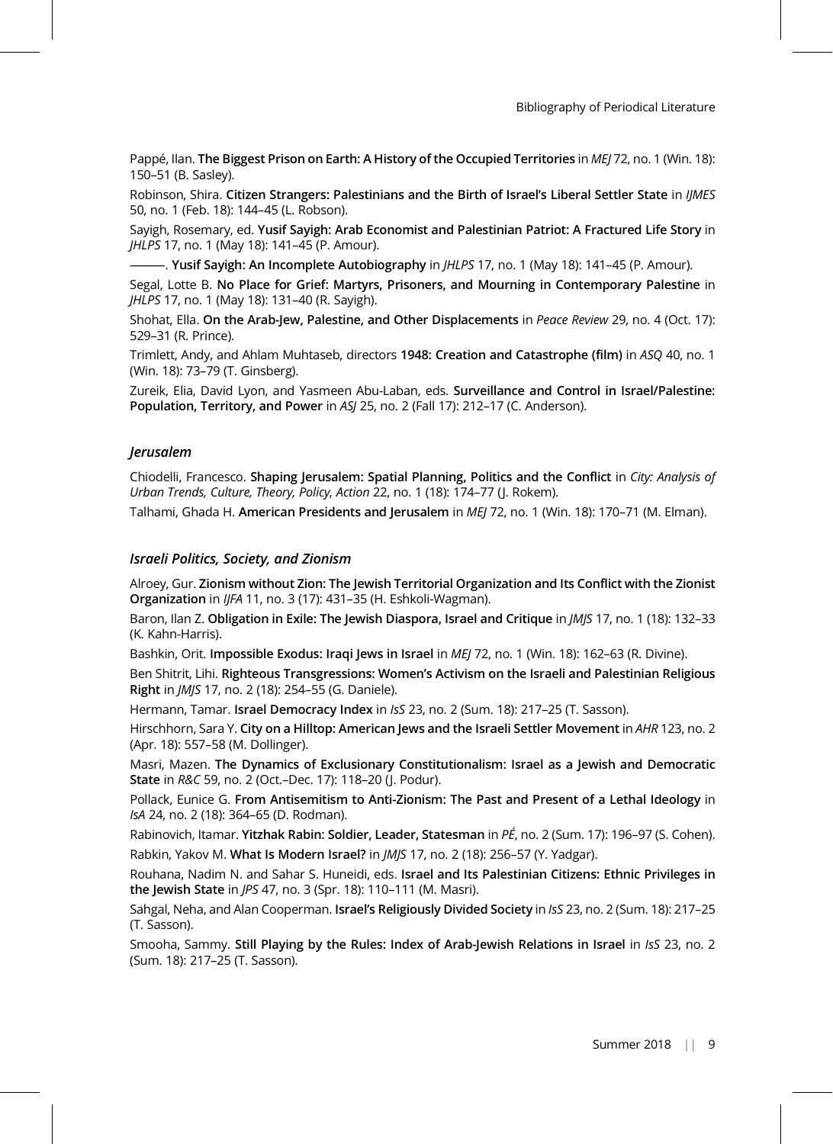Pappé, Ilan. The Biggest Prison on Earth: A History of the Occupied Territories in MEJ 72, no. 1 (Win. 18): 150–51 (B. Sasley).

Robinson, Shira. Citizen Strangers: Palestinians and the Birth of Israel's Liberal Settler State in IIMES 50, no. 1 (Feb. 18): 144–45 (L. Robson).

Sayigh, Rosemary, ed. Yusif Sayigh: Arab Economist and Palestinian Patriot: A Fractured Life Story in JHLPS 17, no. 1 (May 18): 141–45 (P. Amour).

-. Yusif Sayigh: An Incomplete Autobiography in JHLPS 17, no. 1 (May 18): 141-45 (P. Amour).

Segal, Lotte B. No Place for Grief: Martyrs, Prisoners, and Mourning in Contemporary Palestine in JHLPS 17, no. 1 (May 18): 131–40 (R. Sayigh).

Shohat, Ella. On the Arab-Jew, Palestine, and Other Displacements in Peace Review 29, no. 4 (Oct. 17): 529–31 (R. Prince).

Trimlett, Andy, and Ahlam Muhtaseb, directors 1948: Creation and Catastrophe (film) in ASQ 40, no. 1 (Win. 18): 73–79 (T. Ginsberg).

Zureik, Elia, David Lyon, and Yasmeen Abu-Laban, eds. Surveillance and Control in Israel/Palestine: Population, Territory, and Power in ASJ 25, no. 2 (Fall 17): 212-17 (C. Anderson).

#### Jerusalem

Chiodelli, Francesco. Shaping Jerusalem: Spatial Planning, Politics and the Conflict in City: Analysis of Urban Trends, Culture, Theory, Policy, Action 22, no. 1 (18): 174–77 (J. Rokem).

Talhami, Ghada H. American Presidents and Jerusalem in MEJ 72, no. 1 (Win. 18): 170-71 (M. Elman).

#### Israeli Politics, Society, and Zionism

Alroey, Gur. Zionism without Zion: The Jewish Territorial Organization and Its Conflict with the Zionist Organization in IJFA 11, no. 3 (17): 431–35 (H. Eshkoli-Wagman).

Baron, Ilan Z. Obligation in Exile: The Jewish Diaspora, Israel and Critique in *JMJS* 17, no. 1 (18): 132-33 (K. Kahn-Harris).

Bashkin, Orit. Impossible Exodus: Iraqi Jews in Israel in MEJ 72, no. 1 (Win. 18): 162-63 (R. Divine).

Ben Shitrit, Lihi. Righteous Transgressions: Women's Activism on the Israeli and Palestinian Religious Right in JMJS 17, no. 2 (18): 254–55 (G. Daniele).

Hermann, Tamar. Israel Democracy Index in IsS 23, no. 2 (Sum. 18): 217-25 (T. Sasson).

Hirschhorn, Sara Y. City on a Hilltop: American Jews and the Israeli Settler Movement in AHR 123, no. 2 (Apr. 18): 557–58 (M. Dollinger).

Masri, Mazen. The Dynamics of Exclusionary Constitutionalism: Israel as a Jewish and Democratic State in R&C 59, no. 2 (Oct.–Dec. 17): 118–20 (J. Podur).

Pollack, Eunice G. From Antisemitism to Anti-Zionism: The Past and Present of a Lethal Ideology in IsA 24, no. 2 (18): 364–65 (D. Rodman).

Rabinovich, Itamar. Yitzhak Rabin: Soldier, Leader, Statesman in PÉ, no. 2 (Sum. 17): 196-97 (S. Cohen). Rabkin, Yakov M. What Is Modern Israel? in JMJS 17, no. 2 (18): 256-57 (Y. Yadgar).

Rouhana, Nadim N. and Sahar S. Huneidi, eds. Israel and Its Palestinian Citizens: Ethnic Privileges in the Jewish State in JPS 47, no. 3 (Spr. 18): 110–111 (M. Masri).

Sahgal, Neha, and Alan Cooperman. Israel's Religiously Divided Society in IsS 23, no. 2 (Sum. 18): 217-25 (T. Sasson).

Smooha, Sammy. Still Playing by the Rules: Index of Arab-Jewish Relations in Israel in IsS 23, no. 2 (Sum. 18): 217–25 (T. Sasson).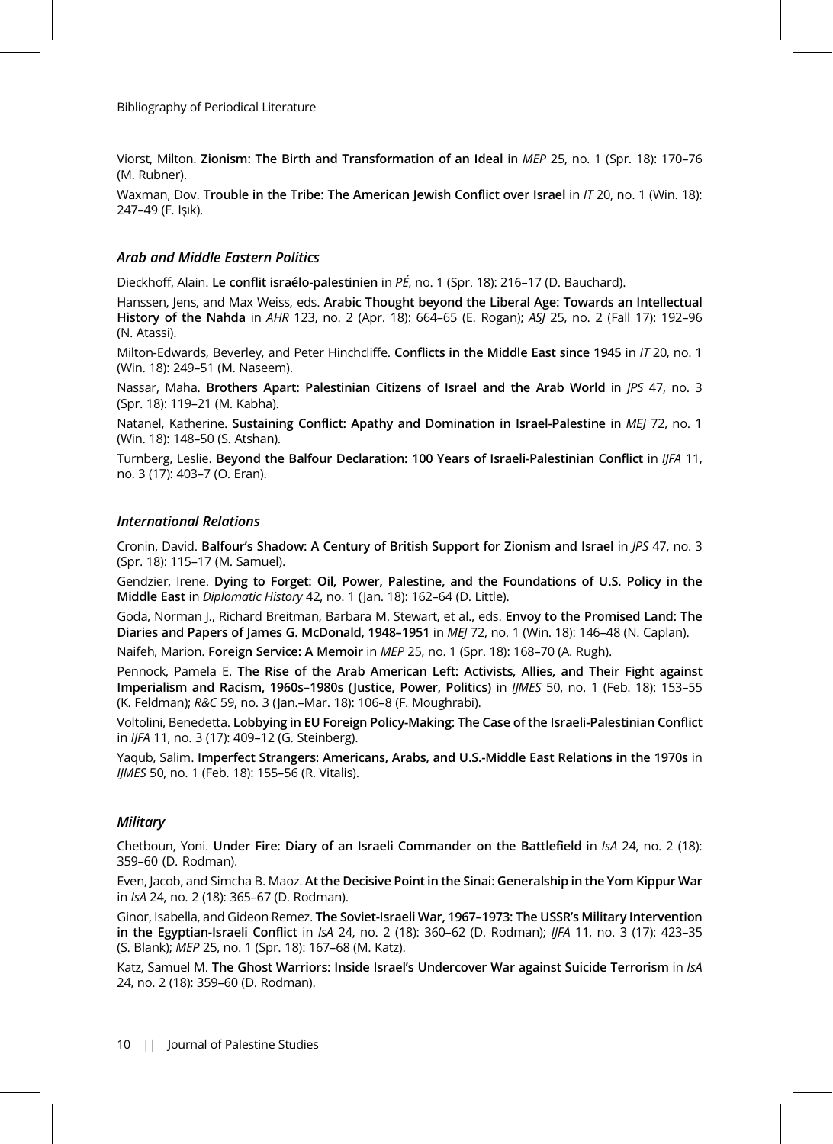Viorst, Milton. Zionism: The Birth and Transformation of an Ideal in MEP 25, no. 1 (Spr. 18): 170-76 (M. Rubner).

Waxman, Dov. Trouble in the Tribe: The American Jewish Conflict over Israel in /T 20, no. 1 (Win. 18): 247–49 (F. Işık).

## Arab and Middle Eastern Politics

Dieckhoff, Alain. Le conflit israélo-palestinien in PÉ, no. 1 (Spr. 18): 216–17 (D. Bauchard).

Hanssen, Jens, and Max Weiss, eds. Arabic Thought beyond the Liberal Age: Towards an Intellectual History of the Nahda in AHR 123, no. 2 (Apr. 18): 664–65 (E. Rogan); ASJ 25, no. 2 (Fall 17): 192–96 (N. Atassi).

Milton-Edwards, Beverley, and Peter Hinchcliffe. Conflicts in the Middle East since 1945 in /T 20, no. 1 (Win. 18): 249–51 (M. Naseem).

Nassar, Maha. Brothers Apart: Palestinian Citizens of Israel and the Arab World in *JPS* 47, no. 3 (Spr. 18): 119–21 (M. Kabha).

Natanel, Katherine. Sustaining Conflict: Apathy and Domination in Israel-Palestine in MEJ 72, no. 1 (Win. 18): 148–50 (S. Atshan).

Turnberg, Leslie. Beyond the Balfour Declaration: 100 Years of Israeli-Palestinian Conflict in IJFA 11, no. 3 (17): 403–7 (O. Eran).

#### International Relations

Cronin, David. Balfour's Shadow: A Century of British Support for Zionism and Israel in JPS 47, no. 3 (Spr. 18): 115–17 (M. Samuel).

Gendzier, Irene. Dying to Forget: Oil, Power, Palestine, and the Foundations of U.S. Policy in the Middle East in Diplomatic History 42, no. 1 (Jan. 18): 162–64 (D. Little).

Goda, Norman J., Richard Breitman, Barbara M. Stewart, et al., eds. Envoy to the Promised Land: The Diaries and Papers of James G. McDonald, 1948–1951 in MEJ 72, no. 1 (Win. 18): 146-48 (N. Caplan).

Naifeh, Marion. Foreign Service: A Memoir in MEP 25, no. 1 (Spr. 18): 168-70 (A. Rugh).

Pennock, Pamela E. The Rise of the Arab American Left: Activists, Allies, and Their Fight against Imperialism and Racism, 1960s–1980s (Justice, Power, Politics) in IJMES 50, no. 1 (Feb. 18): 153–55 (K. Feldman); R&C 59, no. 3 (Jan.–Mar. 18): 106–8 (F. Moughrabi).

Voltolini, Benedetta. Lobbying in EU Foreign Policy-Making: The Case of the Israeli-Palestinian Conflict in IJFA 11, no. 3 (17): 409–12 (G. Steinberg).

Yaqub, Salim. Imperfect Strangers: Americans, Arabs, and U.S.-Middle East Relations in the 1970s in IJMES 50, no. 1 (Feb. 18): 155–56 (R. Vitalis).

#### **Military**

Chetboun, Yoni. Under Fire: Diary of an Israeli Commander on the Battlefield in IsA 24, no. 2 (18): 359–60 (D. Rodman).

Even, Jacob, and Simcha B. Maoz. At the Decisive Point in the Sinai: Generalship in the Yom Kippur War in IsA 24, no. 2 (18): 365–67 (D. Rodman).

Ginor, Isabella, and Gideon Remez. The Soviet-Israeli War, 1967–1973: The USSR's Military Intervention in the Egyptian-Israeli Conflict in IsA 24, no. 2 (18): 360-62 (D. Rodman); IJFA 11, no. 3 (17): 423-35 (S. Blank); MEP 25, no. 1 (Spr. 18): 167–68 (M. Katz).

Katz, Samuel M. The Ghost Warriors: Inside Israel's Undercover War against Suicide Terrorism in IsA 24, no. 2 (18): 359–60 (D. Rodman).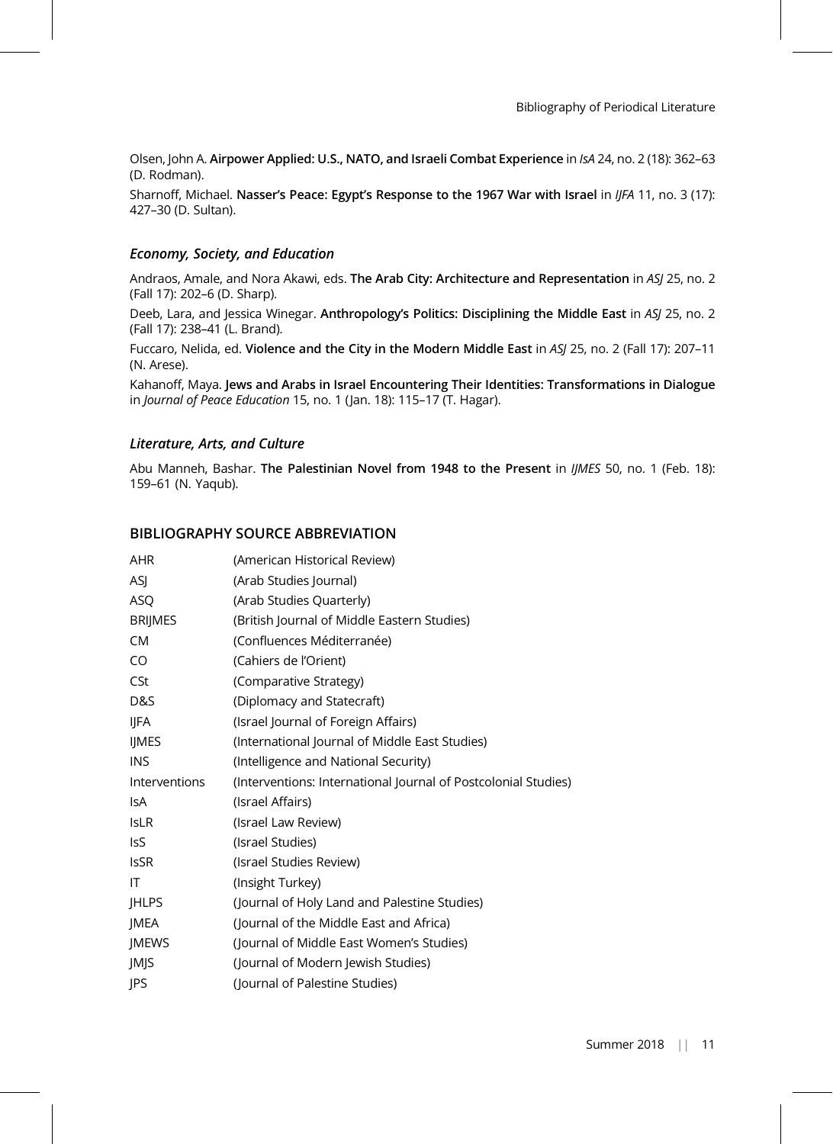Olsen, John A. Airpower Applied: U.S., NATO, and Israeli Combat Experience in IsA 24, no. 2 (18): 362–63 (D. Rodman).

Sharnoff, Michael. Nasser's Peace: Egypt's Response to the 1967 War with Israel in IJFA 11, no. 3 (17): 427–30 (D. Sultan).

### Economy, Society, and Education

Andraos, Amale, and Nora Akawi, eds. The Arab City: Architecture and Representation in ASJ 25, no. 2 (Fall 17): 202–6 (D. Sharp).

Deeb, Lara, and Jessica Winegar. Anthropology's Politics: Disciplining the Middle East in ASJ 25, no. 2 (Fall 17): 238–41 (L. Brand).

Fuccaro, Nelida, ed. Violence and the City in the Modern Middle East in ASJ 25, no. 2 (Fall 17): 207–11 (N. Arese).

Kahanoff, Maya. Jews and Arabs in Israel Encountering Their Identities: Transformations in Dialogue in Journal of Peace Education 15, no. 1 (Jan. 18): 115–17 (T. Hagar).

### Literature, Arts, and Culture

Abu Manneh, Bashar. The Palestinian Novel from 1948 to the Present in IJMES 50, no. 1 (Feb. 18): 159–61 (N. Yaqub).

## BIBLIOGRAPHY SOURCE ABBREVIATION

| AHR            | (American Historical Review)                                   |
|----------------|----------------------------------------------------------------|
| ASJ            | (Arab Studies Journal)                                         |
| ASQ            | (Arab Studies Quarterly)                                       |
| <b>BRIJMES</b> | (British Journal of Middle Eastern Studies)                    |
| <b>CM</b>      | (Confluences Méditerranée)                                     |
| CO             | (Cahiers de l'Orient)                                          |
| CSt            | (Comparative Strategy)                                         |
| D&S            | (Diplomacy and Statecraft)                                     |
| IJFA           | (Israel Journal of Foreign Affairs)                            |
| <b>IIMES</b>   | (International Journal of Middle East Studies)                 |
| <b>INS</b>     | (Intelligence and National Security)                           |
| Interventions  | (Interventions: International Journal of Postcolonial Studies) |
| IsA            | (Israel Affairs)                                               |
| <b>IsLR</b>    | (Israel Law Review)                                            |
| IsS            | (Israel Studies)                                               |
| <b>IsSR</b>    | (Israel Studies Review)                                        |
| ΙT             | (Insight Turkey)                                               |
| <b>IHLPS</b>   | (Journal of Holy Land and Palestine Studies)                   |
| JMEA           | (Journal of the Middle East and Africa)                        |
| JMEWS          | (Journal of Middle East Women's Studies)                       |
| JMJS           | (Journal of Modern Jewish Studies)                             |
| <b>IPS</b>     | (Journal of Palestine Studies)                                 |